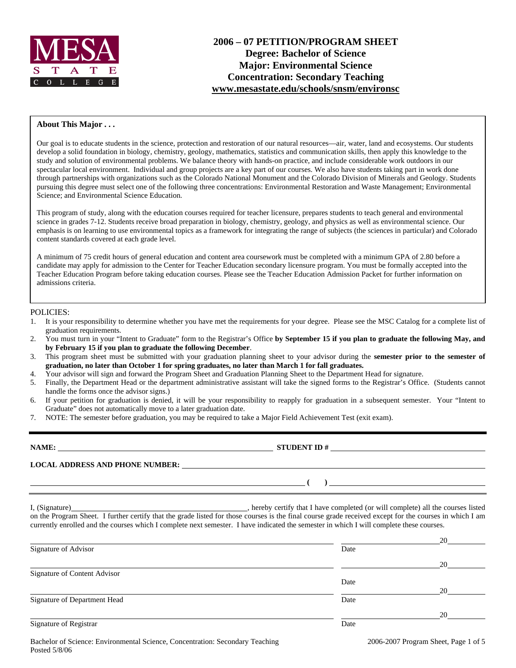

# **2006 – 07 PETITION/PROGRAM SHEET Degree: Bachelor of Science Major: Environmental Science Concentration: Secondary Teaching www.mesastate.edu/schools/snsm/environsc**

#### **About This Major . . .**

Our goal is to educate students in the science, protection and restoration of our natural resources—air, water, land and ecosystems. Our students develop a solid foundation in biology, chemistry, geology, mathematics, statistics and communication skills, then apply this knowledge to the study and solution of environmental problems. We balance theory with hands-on practice, and include considerable work outdoors in our spectacular local environment. Individual and group projects are a key part of our courses. We also have students taking part in work done through partnerships with organizations such as the Colorado National Monument and the Colorado Division of Minerals and Geology. Students pursuing this degree must select one of the following three concentrations: Environmental Restoration and Waste Management; Environmental Science; and Environmental Science Education.

This program of study, along with the education courses required for teacher licensure, prepares students to teach general and environmental science in grades 7-12. Students receive broad preparation in biology, chemistry, geology, and physics as well as environmental science. Our emphasis is on learning to use environmental topics as a framework for integrating the range of subjects (the sciences in particular) and Colorado content standards covered at each grade level.

A minimum of 75 credit hours of general education and content area coursework must be completed with a minimum GPA of 2.80 before a candidate may apply for admission to the Center for Teacher Education secondary licensure program. You must be formally accepted into the Teacher Education Program before taking education courses. Please see the Teacher Education Admission Packet for further information on admissions criteria.

#### POLICIES:

- 1. It is your responsibility to determine whether you have met the requirements for your degree. Please see the MSC Catalog for a complete list of graduation requirements.
- 2. You must turn in your "Intent to Graduate" form to the Registrar's Office **by September 15 if you plan to graduate the following May, and by February 15 if you plan to graduate the following December**.
- 3. This program sheet must be submitted with your graduation planning sheet to your advisor during the **semester prior to the semester of graduation, no later than October 1 for spring graduates, no later than March 1 for fall graduates.**
- 4. Your advisor will sign and forward the Program Sheet and Graduation Planning Sheet to the Department Head for signature.
- 5. Finally, the Department Head or the department administrative assistant will take the signed forms to the Registrar's Office. (Students cannot handle the forms once the advisor signs.)
- 6. If your petition for graduation is denied, it will be your responsibility to reapply for graduation in a subsequent semester. Your "Intent to Graduate" does not automatically move to a later graduation date.
- 7. NOTE: The semester before graduation, you may be required to take a Major Field Achievement Test (exit exam).

# **NAME: STUDENT ID #**

 $($   $)$ 

**LOCAL ADDRESS AND PHONE NUMBER:**

I, (Signature) , hereby certify that I have completed (or will complete) all the courses listed

on the Program Sheet. I further certify that the grade listed for those courses is the final course grade received except for the courses in which I am currently enrolled and the courses which I complete next semester. I have indicated the semester in which I will complete these courses.

|                              |      | 20 |
|------------------------------|------|----|
| Signature of Advisor         | Date |    |
|                              |      | 20 |
| Signature of Content Advisor |      |    |
|                              | Date |    |
|                              |      | 20 |
| Signature of Department Head | Date |    |
|                              |      | 20 |
| Signature of Registrar       | Date |    |
|                              |      |    |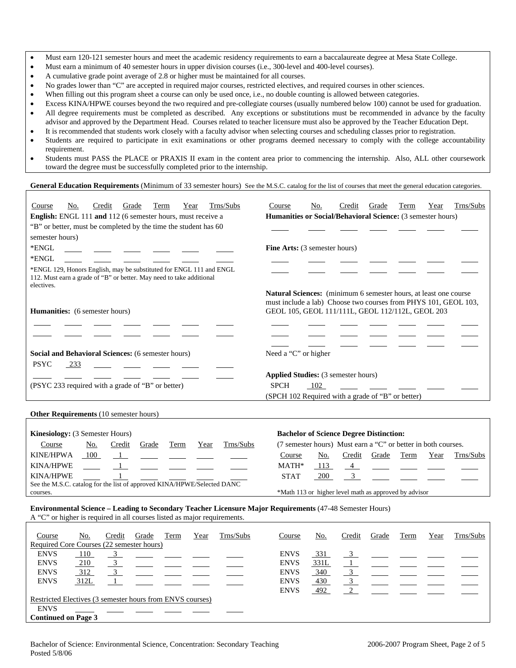- Must earn 120-121 semester hours and meet the academic residency requirements to earn a baccalaureate degree at Mesa State College.
- Must earn a minimum of 40 semester hours in upper division courses (i.e., 300-level and 400-level courses).
- A cumulative grade point average of 2.8 or higher must be maintained for all courses.
- No grades lower than "C" are accepted in required major courses, restricted electives, and required courses in other sciences.
- When filling out this program sheet a course can only be used once, i.e., no double counting is allowed between categories.
- Excess KINA/HPWE courses beyond the two required and pre-collegiate courses (usually numbered below 100) cannot be used for graduation.
- All degree requirements must be completed as described. Any exceptions or substitutions must be recommended in advance by the faculty advisor and approved by the Department Head. Courses related to teacher licensure must also be approved by the Teacher Education Dept.
- It is recommended that students work closely with a faculty advisor when selecting courses and scheduling classes prior to registration.
- Students are required to participate in exit examinations or other programs deemed necessary to comply with the college accountability requirement.
- Students must PASS the PLACE or PRAXIS II exam in the content area prior to commencing the internship. Also, ALL other coursework toward the degree must be successfully completed prior to the internship.

## General Education Requirements (Minimum of 33 semester hours) See the M.S.C. catalog for the list of courses that meet the general education categories.

| Trns/Subs<br>Credit<br>Grade<br>Term<br>Course<br>No.<br>Year<br>English: ENGL 111 and 112 (6 semester hours, must receive a                                                         | Trns/Subs<br>Credit<br>Grade<br>Term<br>Year<br>Course<br>No.<br>Humanities or Social/Behavioral Science: (3 semester hours)                                                                   |
|--------------------------------------------------------------------------------------------------------------------------------------------------------------------------------------|------------------------------------------------------------------------------------------------------------------------------------------------------------------------------------------------|
| "B" or better, must be completed by the time the student has 60                                                                                                                      |                                                                                                                                                                                                |
| semester hours)                                                                                                                                                                      |                                                                                                                                                                                                |
| *ENGL                                                                                                                                                                                | Fine Arts: (3 semester hours)                                                                                                                                                                  |
| *ENGL                                                                                                                                                                                |                                                                                                                                                                                                |
| *ENGL 129, Honors English, may be substituted for ENGL 111 and ENGL<br>112. Must earn a grade of "B" or better. May need to take additional<br>electives.                            |                                                                                                                                                                                                |
| Humanities: (6 semester hours)                                                                                                                                                       | <b>Natural Sciences:</b> (minimum 6 semester hours, at least one course<br>must include a lab) Choose two courses from PHYS 101, GEOL 103,<br>GEOL 105, GEOL 111/111L, GEOL 112/112L, GEOL 203 |
|                                                                                                                                                                                      |                                                                                                                                                                                                |
| Social and Behavioral Sciences: (6 semester hours)                                                                                                                                   | Need a "C" or higher                                                                                                                                                                           |
| <b>PSYC</b><br>233                                                                                                                                                                   |                                                                                                                                                                                                |
|                                                                                                                                                                                      | Applied Studies: (3 semester hours)                                                                                                                                                            |
| (PSYC 233 required with a grade of "B" or better)                                                                                                                                    | <b>SPCH</b><br>102<br>(SPCH 102 Required with a grade of "B" or better)                                                                                                                        |
|                                                                                                                                                                                      |                                                                                                                                                                                                |
| Other Requirements (10 semester hours)                                                                                                                                               |                                                                                                                                                                                                |
|                                                                                                                                                                                      |                                                                                                                                                                                                |
| Kinesiology: (3 Semester Hours)                                                                                                                                                      | <b>Bachelor of Science Degree Distinction:</b>                                                                                                                                                 |
| Trns/Subs<br>Course<br><u>No.</u><br>Credit<br>Grade<br>Term<br>Year                                                                                                                 | (7 semester hours) Must earn a "C" or better in both courses.                                                                                                                                  |
| <b>KINE/HPWA</b><br>100<br>$\blacksquare$                                                                                                                                            | Grade<br>Term<br>Trns/Subs<br>Credit<br>Year<br>Course<br>No.                                                                                                                                  |
| <b>KINA/HPWE</b>                                                                                                                                                                     | MATH*<br>4<br>113                                                                                                                                                                              |
| <b>KINA/HPWE</b>                                                                                                                                                                     | <b>STAT</b><br>200<br>3                                                                                                                                                                        |
| See the M.S.C. catalog for the list of approved KINA/HPWE/Selected DANC<br>courses.                                                                                                  | *Math 113 or higher level math as approved by advisor                                                                                                                                          |
| Environmental Science - Leading to Secondary Teacher Licensure Major Requirements (47-48 Semester Hours)<br>A "C" or higher is required in all courses listed as major requirements. |                                                                                                                                                                                                |
| Trns/Subs<br>Term<br><u>No.</u><br>Credit<br>Grade<br>Year<br>Course<br>Beguired Core Courses (22 semester hours)                                                                    | Trns/Subs<br>Credit<br>Grade<br>Term<br>Course<br>No.<br>Year                                                                                                                                  |

| Course                                                    | INO.       | Create | Grade | rerm | r ear | <b>THEYSUDS</b> | Course      | INO.       | Create | Grade | 1 erm | r ear | 1 rns/Subs |
|-----------------------------------------------------------|------------|--------|-------|------|-------|-----------------|-------------|------------|--------|-------|-------|-------|------------|
| Required Core Courses (22 semester hours)                 |            |        |       |      |       |                 |             |            |        |       |       |       |            |
| <b>ENVS</b>                                               | 110        |        |       |      |       |                 | <b>ENVS</b> | <u>331</u> |        |       |       |       |            |
| <b>ENVS</b>                                               | 210        |        |       |      |       |                 | <b>ENVS</b> | 331L       |        |       |       |       |            |
| <b>ENVS</b>                                               | <u>312</u> |        |       |      |       |                 | <b>ENVS</b> | 340        |        |       |       |       |            |
| <b>ENVS</b>                                               | 312L       |        |       |      |       |                 | <b>ENVS</b> | 430        |        |       |       |       |            |
|                                                           |            |        |       |      |       |                 | <b>ENVS</b> | 492        | $\sim$ |       |       |       |            |
| Restricted Electives (3 semester hours from ENVS courses) |            |        |       |      |       |                 |             |            |        |       |       |       |            |
| <b>ENVS</b>                                               |            |        |       |      |       |                 |             |            |        |       |       |       |            |
| <b>Continued on Page 3</b>                                |            |        |       |      |       |                 |             |            |        |       |       |       |            |
|                                                           |            |        |       |      |       |                 |             |            |        |       |       |       |            |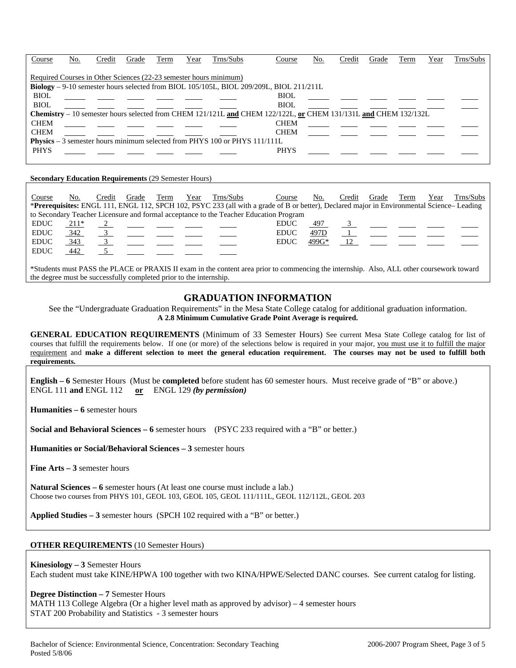| Course                                                                             | No. | Credit | Grade | Term | Year | Trns/Subs | Course                                                                                                          | No. | Credit | Grade | Term | Year | Trns/Subs |
|------------------------------------------------------------------------------------|-----|--------|-------|------|------|-----------|-----------------------------------------------------------------------------------------------------------------|-----|--------|-------|------|------|-----------|
| Required Courses in Other Sciences (22-23 semester hours minimum)                  |     |        |       |      |      |           |                                                                                                                 |     |        |       |      |      |           |
|                                                                                    |     |        |       |      |      |           | <b>Biology</b> – 9-10 semester hours selected from BIOL 105/105L, BIOL 209/209L, BIOL 211/211L                  |     |        |       |      |      |           |
| <b>BIOL</b>                                                                        |     |        |       |      |      |           | <b>BIOL</b>                                                                                                     |     |        |       |      |      |           |
| <b>BIOL</b>                                                                        |     |        |       |      |      |           | <b>BIOL</b>                                                                                                     |     |        |       |      |      |           |
|                                                                                    |     |        |       |      |      |           | Chemistry – 10 semester hours selected from CHEM 121/121L and CHEM 122/122L, or CHEM 131/131L and CHEM 132/132L |     |        |       |      |      |           |
| <b>CHEM</b>                                                                        |     |        |       |      |      |           | <b>CHEM</b>                                                                                                     |     |        |       |      |      |           |
| <b>CHEM</b>                                                                        |     |        |       |      |      |           | <b>CHEM</b>                                                                                                     |     |        |       |      |      |           |
| <b>Physics</b> $-3$ semester hours minimum selected from PHYS 100 or PHYS 111/111L |     |        |       |      |      |           |                                                                                                                 |     |        |       |      |      |           |
| <b>PHYS</b>                                                                        |     |        |       |      |      |           | <b>PHYS</b>                                                                                                     |     |        |       |      |      |           |

#### **Secondary Education Requirements** (29 Semester Hours)

| Course      | No.                                                                                   | Credit | Grade | Term | Year | Trns/Subs                                                                                       | Course                                                                                                                                    | No.   | Credit | Grade | Term                           | Year | Trns/Subs |
|-------------|---------------------------------------------------------------------------------------|--------|-------|------|------|-------------------------------------------------------------------------------------------------|-------------------------------------------------------------------------------------------------------------------------------------------|-------|--------|-------|--------------------------------|------|-----------|
|             |                                                                                       |        |       |      |      |                                                                                                 | *Prerequisites: ENGL 111, ENGL 112, SPCH 102, PSYC 233 (all with a grade of B or better), Declared major in Environmental Science-Leading |       |        |       |                                |      |           |
|             | to Secondary Teacher Licensure and formal acceptance to the Teacher Education Program |        |       |      |      |                                                                                                 |                                                                                                                                           |       |        |       |                                |      |           |
| <b>EDUC</b> | 211*                                                                                  |        |       |      |      | $\frac{2}{\sqrt{2}}$ and $\frac{2}{\sqrt{2}}$ and $\frac{2}{\sqrt{2}}$ and $\frac{2}{\sqrt{2}}$ | <b>EDUC</b>                                                                                                                               | 497   |        |       | $3 \left( \frac{1}{2} \right)$ |      |           |
| <b>EDUC</b> | 342                                                                                   |        |       |      |      |                                                                                                 | <b>EDUC</b>                                                                                                                               | 497D  |        |       |                                |      |           |
| <b>EDUC</b> | 343                                                                                   |        |       |      |      |                                                                                                 | <b>EDUC</b>                                                                                                                               | 499G* |        |       |                                |      |           |
| <b>EDUC</b> | 442                                                                                   |        |       |      |      |                                                                                                 |                                                                                                                                           |       |        |       |                                |      |           |
|             |                                                                                       |        |       |      |      |                                                                                                 |                                                                                                                                           |       |        |       |                                |      |           |

\*Students must PASS the PLACE or PRAXIS II exam in the content area prior to commencing the internship. Also, ALL other coursework toward the degree must be successfully completed prior to the internship.

#### **GRADUATION INFORMATION**

See the "Undergraduate Graduation Requirements" in the Mesa State College catalog for additional graduation information. **A 2.8 Minimum Cumulative Grade Point Average is required.**

**GENERAL EDUCATION REQUIREMENTS** (Minimum of 33 Semester Hours) See current Mesa State College catalog for list of courses that fulfill the requirements below. If one (or more) of the selections below is required in your major, you must use it to fulfill the major requirement and **make a different selection to meet the general education requirement. The courses may not be used to fulfill both requirements.**

**English – 6** Semester Hours (Must be **completed** before student has 60 semester hours. Must receive grade of "B" or above.) ENGL 111 **and** ENGL 112 **or** ENGL 129 *(by permission)*

**Humanities – 6** semester hours

**Social and Behavioral Sciences – 6** semester hours (PSYC 233 required with a "B" or better.)

**Humanities or Social/Behavioral Sciences – 3** semester hours

**Fine Arts – 3** semester hours

**Natural Sciences – 6** semester hours (At least one course must include a lab.) Choose two courses from PHYS 101, GEOL 103, GEOL 105, GEOL 111/111L, GEOL 112/112L, GEOL 203

**Applied Studies – 3** semester hours (SPCH 102 required with a "B" or better.)

#### **OTHER REQUIREMENTS** (10 Semester Hours)

#### **Kinesiology – 3** Semester Hours

Each student must take KINE/HPWA 100 together with two KINA/HPWE/Selected DANC courses. See current catalog for listing.

#### **Degree Distinction – 7** Semester Hours

MATH 113 College Algebra (Or a higher level math as approved by advisor) – 4 semester hours STAT 200 Probability and Statistics - 3 semester hours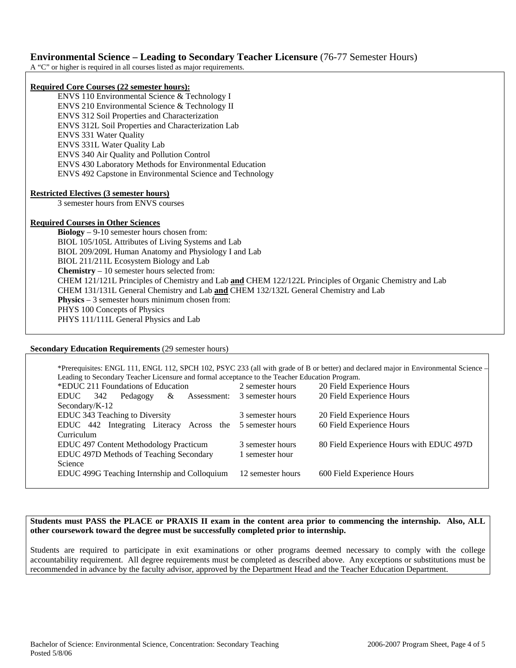## **Environmental Science – Leading to Secondary Teacher Licensure** (76-77 Semester Hours)

A "C" or higher is required in all courses listed as major requirements.

#### **Required Core Courses (22 semester hours):**

ENVS 110 Environmental Science & Technology I ENVS 210 Environmental Science & Technology II ENVS 312 Soil Properties and Characterization ENVS 312L Soil Properties and Characterization Lab ENVS 331 Water Quality ENVS 331L Water Quality Lab ENVS 340 Air Quality and Pollution Control ENVS 430 Laboratory Methods for Environmental Education ENVS 492 Capstone in Environmental Science and Technology

#### **Restricted Electives (3 semester hours)**

3 semester hours from ENVS courses

#### **Required Courses in Other Sciences**

**Biology** – 9-10 semester hours chosen from: BIOL 105/105L Attributes of Living Systems and Lab BIOL 209/209L Human Anatomy and Physiology I and Lab BIOL 211/211L Ecosystem Biology and Lab **Chemistry** – 10 semester hours selected from: CHEM 121/121L Principles of Chemistry and Lab **and** CHEM 122/122L Principles of Organic Chemistry and Lab CHEM 131/131L General Chemistry and Lab **and** CHEM 132/132L General Chemistry and Lab **Physics** – 3 semester hours minimum chosen from: PHYS 100 Concepts of Physics PHYS 111/111L General Physics and Lab

#### **Secondary Education Requirements** (29 semester hours)

\*Prerequisites: ENGL 111, ENGL 112, SPCH 102, PSYC 233 (all with grade of B or better) and declared major in Environmental Science – Leading to Secondary Teacher Licensure and formal acceptance to the Teacher Education Program. \*EDUC 211 Foundations of Education 2 semester hours 20 Field Experience Hours EDUC 342 Pedagogy & Assessment: Secondary/K-12 3 semester hours 20 Field Experience Hours EDUC 343 Teaching to Diversity 3 semester hours 20 Field Experience Hours EDUC 442 Integrating Literacy Across the 5 semester hours Curriculum 60 Field Experience Hours EDUC 497 Content Methodology Practicum 3 semester hours 80 Field Experience Hours with EDUC 497D EDUC 497D Methods of Teaching Secondary Science 1 semester hour EDUC 499G Teaching Internship and Colloquium 12 semester hours 600 Field Experience Hours

#### **Students must PASS the PLACE or PRAXIS II exam in the content area prior to commencing the internship. Also, ALL other coursework toward the degree must be successfully completed prior to internship.**

Students are required to participate in exit examinations or other programs deemed necessary to comply with the college accountability requirement. All degree requirements must be completed as described above. Any exceptions or substitutions must be recommended in advance by the faculty advisor, approved by the Department Head and the Teacher Education Department.